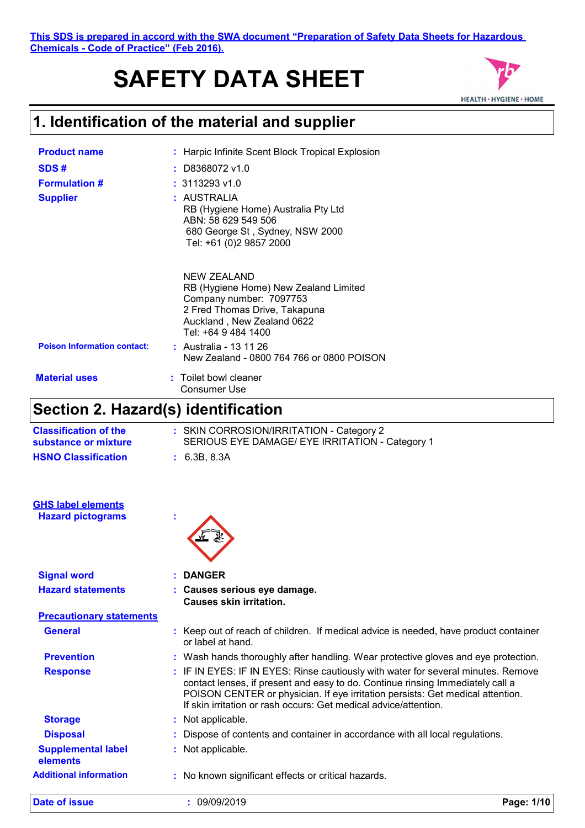#### **This SDS is prepared in accord with the SWA document "Preparation of Safety Data Sheets for Hazardous Chemicals - Code of Practice" (Feb 2016).**

# **SAFETY DATA SHEET**



# **1. Identification of the material and supplier**

| <b>Product name</b>                | : Harpic Infinite Scent Block Tropical Explosion                                                                                                                      |
|------------------------------------|-----------------------------------------------------------------------------------------------------------------------------------------------------------------------|
| SDS#                               | $:$ D8368072 v1.0                                                                                                                                                     |
| <b>Formulation #</b>               | $: 3113293$ v1.0                                                                                                                                                      |
| <b>Supplier</b>                    | : AUSTRALIA<br>RB (Hygiene Home) Australia Pty Ltd<br>ABN: 58 629 549 506<br>680 George St, Sydney, NSW 2000<br>Tel: +61 (0)2 9857 2000                               |
|                                    | NEW ZEALAND<br>RB (Hygiene Home) New Zealand Limited<br>Company number: 7097753<br>2 Fred Thomas Drive, Takapuna<br>Auckland, New Zealand 0622<br>Tel: +64 9 484 1400 |
| <b>Poison Information contact:</b> | : Australia - 13 11 26<br>New Zealand - 0800 764 766 or 0800 POISON                                                                                                   |
| <b>Material uses</b>               | : Toilet bowl cleaner<br>Consumer Use                                                                                                                                 |

### **Section 2. Hazard(s) identification**

| Jection Z. Hazaru(S) Igentincation                    |                                                                                                                                                                                                                                                                                                                           |  |
|-------------------------------------------------------|---------------------------------------------------------------------------------------------------------------------------------------------------------------------------------------------------------------------------------------------------------------------------------------------------------------------------|--|
| <b>Classification of the</b><br>substance or mixture  | : SKIN CORROSION/IRRITATION - Category 2<br>SERIOUS EYE DAMAGE/ EYE IRRITATION - Category 1                                                                                                                                                                                                                               |  |
| <b>HSNO Classification</b>                            | : 6.3B, 8.3A                                                                                                                                                                                                                                                                                                              |  |
| <b>GHS label elements</b><br><b>Hazard pictograms</b> |                                                                                                                                                                                                                                                                                                                           |  |
|                                                       |                                                                                                                                                                                                                                                                                                                           |  |
| <b>Signal word</b>                                    | <b>DANGER</b>                                                                                                                                                                                                                                                                                                             |  |
| <b>Hazard statements</b>                              | : Causes serious eye damage.<br><b>Causes skin irritation.</b>                                                                                                                                                                                                                                                            |  |
| <b>Precautionary statements</b>                       |                                                                                                                                                                                                                                                                                                                           |  |
| <b>General</b>                                        | : Keep out of reach of children. If medical advice is needed, have product container<br>or label at hand.                                                                                                                                                                                                                 |  |
| <b>Prevention</b>                                     | : Wash hands thoroughly after handling. Wear protective gloves and eye protection.                                                                                                                                                                                                                                        |  |
| <b>Response</b>                                       | : IF IN EYES: IF IN EYES: Rinse cautiously with water for several minutes. Remove<br>contact lenses, if present and easy to do. Continue rinsing Immediately call a<br>POISON CENTER or physician. If eye irritation persists: Get medical attention.<br>If skin irritation or rash occurs: Get medical advice/attention. |  |
| <b>Storage</b>                                        | : Not applicable.                                                                                                                                                                                                                                                                                                         |  |
| <b>Disposal</b>                                       | Dispose of contents and container in accordance with all local regulations.                                                                                                                                                                                                                                               |  |
| <b>Supplemental label</b><br>elements                 | : Not applicable.                                                                                                                                                                                                                                                                                                         |  |
| <b>Additional information</b>                         | : No known significant effects or critical hazards.                                                                                                                                                                                                                                                                       |  |
|                                                       |                                                                                                                                                                                                                                                                                                                           |  |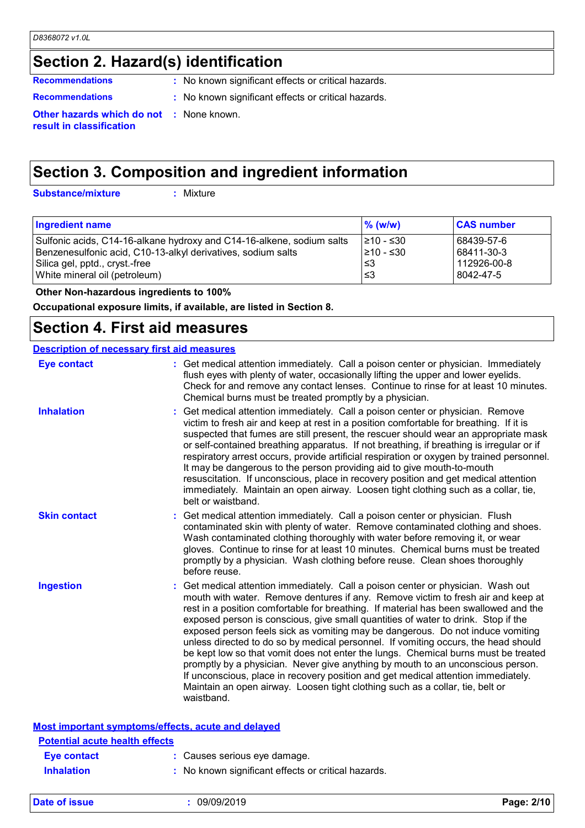### **Section 2. Hazard(s) identification**

**Recommendations :** No known significant effects or critical hazards.

- 
- **Recommendations :** No known significant effects or critical hazards.

**Other hazards which do not :** None known. **result in classification**

### **Section 3. Composition and ingredient information**

**Substance/mixture :**

: Mixture

| <b>Ingredient name</b>                                                | $%$ (w/w)  | <b>CAS number</b> |
|-----------------------------------------------------------------------|------------|-------------------|
| Sulfonic acids, C14-16-alkane hydroxy and C14-16-alkene, sodium salts | I≥10 - ≤30 | 68439-57-6        |
| Benzenesulfonic acid, C10-13-alkyl derivatives, sodium salts          | 210 - ≤30  | 68411-30-3        |
| Silica gel, pptd., cryst.-free                                        | ≤3         | 112926-00-8       |
| White mineral oil (petroleum)                                         | ՝≤3        | 8042-47-5         |
|                                                                       |            |                   |

 **Other Non-hazardous ingredients to 100%**

**Occupational exposure limits, if available, are listed in Section 8.**

#### **Section 4. First aid measures**

| <b>Description of necessary first aid measures</b> |                                                                                                                                                                                                                                                                                                                                                                                                                                                                                                                                                                                                                                                                                                                                                                                                                                                                                      |  |
|----------------------------------------------------|--------------------------------------------------------------------------------------------------------------------------------------------------------------------------------------------------------------------------------------------------------------------------------------------------------------------------------------------------------------------------------------------------------------------------------------------------------------------------------------------------------------------------------------------------------------------------------------------------------------------------------------------------------------------------------------------------------------------------------------------------------------------------------------------------------------------------------------------------------------------------------------|--|
| <b>Eye contact</b>                                 | : Get medical attention immediately. Call a poison center or physician. Immediately<br>flush eyes with plenty of water, occasionally lifting the upper and lower eyelids.<br>Check for and remove any contact lenses. Continue to rinse for at least 10 minutes.<br>Chemical burns must be treated promptly by a physician.                                                                                                                                                                                                                                                                                                                                                                                                                                                                                                                                                          |  |
| <b>Inhalation</b>                                  | Get medical attention immediately. Call a poison center or physician. Remove<br>victim to fresh air and keep at rest in a position comfortable for breathing. If it is<br>suspected that fumes are still present, the rescuer should wear an appropriate mask<br>or self-contained breathing apparatus. If not breathing, if breathing is irregular or if<br>respiratory arrest occurs, provide artificial respiration or oxygen by trained personnel.<br>It may be dangerous to the person providing aid to give mouth-to-mouth<br>resuscitation. If unconscious, place in recovery position and get medical attention<br>immediately. Maintain an open airway. Loosen tight clothing such as a collar, tie,<br>belt or waistband.                                                                                                                                                  |  |
| <b>Skin contact</b>                                | Get medical attention immediately. Call a poison center or physician. Flush<br>contaminated skin with plenty of water. Remove contaminated clothing and shoes.<br>Wash contaminated clothing thoroughly with water before removing it, or wear<br>gloves. Continue to rinse for at least 10 minutes. Chemical burns must be treated<br>promptly by a physician. Wash clothing before reuse. Clean shoes thoroughly<br>before reuse.                                                                                                                                                                                                                                                                                                                                                                                                                                                  |  |
| <b>Ingestion</b>                                   | Get medical attention immediately. Call a poison center or physician. Wash out<br>mouth with water. Remove dentures if any. Remove victim to fresh air and keep at<br>rest in a position comfortable for breathing. If material has been swallowed and the<br>exposed person is conscious, give small quantities of water to drink. Stop if the<br>exposed person feels sick as vomiting may be dangerous. Do not induce vomiting<br>unless directed to do so by medical personnel. If vomiting occurs, the head should<br>be kept low so that vomit does not enter the lungs. Chemical burns must be treated<br>promptly by a physician. Never give anything by mouth to an unconscious person.<br>If unconscious, place in recovery position and get medical attention immediately.<br>Maintain an open airway. Loosen tight clothing such as a collar, tie, belt or<br>waistband. |  |
| Most important symptoms/effects, acute and delayed |                                                                                                                                                                                                                                                                                                                                                                                                                                                                                                                                                                                                                                                                                                                                                                                                                                                                                      |  |
| <b>Potential acute health effects</b>              |                                                                                                                                                                                                                                                                                                                                                                                                                                                                                                                                                                                                                                                                                                                                                                                                                                                                                      |  |
| <b>Eye contact</b>                                 | : Causes serious eye damage.                                                                                                                                                                                                                                                                                                                                                                                                                                                                                                                                                                                                                                                                                                                                                                                                                                                         |  |
| <b>Inhalation</b>                                  | : No known significant effects or critical hazards.                                                                                                                                                                                                                                                                                                                                                                                                                                                                                                                                                                                                                                                                                                                                                                                                                                  |  |

**Date of issue :** 09/09/2019 **Page: 2/10**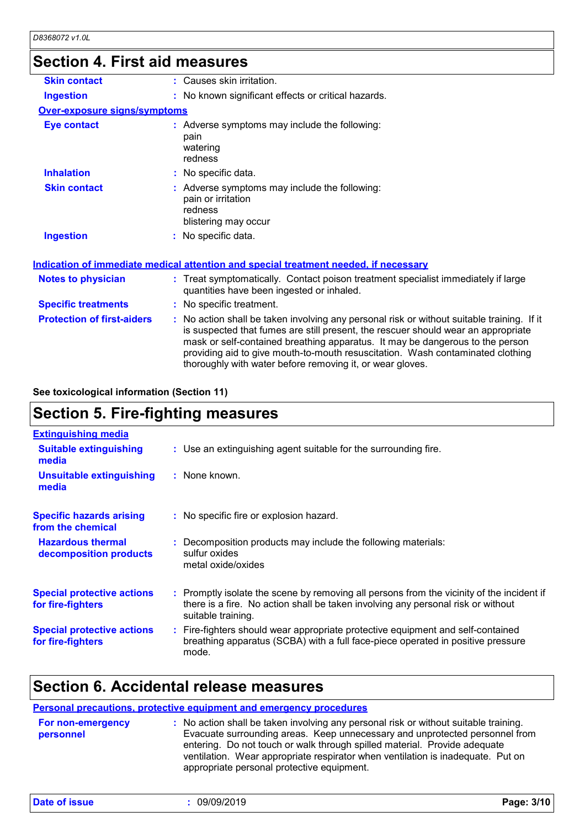# **Section 4. First aid measures**

| <b>Skin contact</b>                 | : Causes skin irritation.                                                                                                                                                                                                                                                                                                                                                                                       |  |  |
|-------------------------------------|-----------------------------------------------------------------------------------------------------------------------------------------------------------------------------------------------------------------------------------------------------------------------------------------------------------------------------------------------------------------------------------------------------------------|--|--|
| <b>Ingestion</b>                    | : No known significant effects or critical hazards.                                                                                                                                                                                                                                                                                                                                                             |  |  |
| <b>Over-exposure signs/symptoms</b> |                                                                                                                                                                                                                                                                                                                                                                                                                 |  |  |
| <b>Eye contact</b>                  | : Adverse symptoms may include the following:<br>pain<br>watering<br>redness                                                                                                                                                                                                                                                                                                                                    |  |  |
| <b>Inhalation</b>                   | : No specific data.                                                                                                                                                                                                                                                                                                                                                                                             |  |  |
| <b>Skin contact</b>                 | : Adverse symptoms may include the following:<br>pain or irritation<br>redness<br>blistering may occur                                                                                                                                                                                                                                                                                                          |  |  |
| <b>Ingestion</b>                    | : No specific data.                                                                                                                                                                                                                                                                                                                                                                                             |  |  |
|                                     | <b>Indication of immediate medical attention and special treatment needed, if necessary</b>                                                                                                                                                                                                                                                                                                                     |  |  |
| <b>Notes to physician</b>           | : Treat symptomatically. Contact poison treatment specialist immediately if large<br>quantities have been ingested or inhaled.                                                                                                                                                                                                                                                                                  |  |  |
| <b>Specific treatments</b>          | : No specific treatment.                                                                                                                                                                                                                                                                                                                                                                                        |  |  |
| <b>Protection of first-aiders</b>   | : No action shall be taken involving any personal risk or without suitable training. If it<br>is suspected that fumes are still present, the rescuer should wear an appropriate<br>mask or self-contained breathing apparatus. It may be dangerous to the person<br>providing aid to give mouth-to-mouth resuscitation. Wash contaminated clothing<br>thoroughly with water before removing it, or wear gloves. |  |  |

#### **See toxicological information (Section 11)**

# **Section 5. Fire-fighting measures**

| <b>Extinguishing media</b>                             |                                                                                                                                                                                                     |
|--------------------------------------------------------|-----------------------------------------------------------------------------------------------------------------------------------------------------------------------------------------------------|
| <b>Suitable extinguishing</b><br>media                 | : Use an extinguishing agent suitable for the surrounding fire.                                                                                                                                     |
| <b>Unsuitable extinguishing</b><br>media               | : None known.                                                                                                                                                                                       |
| <b>Specific hazards arising</b><br>from the chemical   | : No specific fire or explosion hazard.                                                                                                                                                             |
| <b>Hazardous thermal</b><br>decomposition products     | : Decomposition products may include the following materials:<br>sulfur oxides<br>metal oxide/oxides                                                                                                |
| <b>Special protective actions</b><br>for fire-fighters | : Promptly isolate the scene by removing all persons from the vicinity of the incident if<br>there is a fire. No action shall be taken involving any personal risk or without<br>suitable training. |
| <b>Special protective actions</b><br>for fire-fighters | : Fire-fighters should wear appropriate protective equipment and self-contained<br>breathing apparatus (SCBA) with a full face-piece operated in positive pressure<br>mode.                         |

### **Section 6. Accidental release measures**

#### **Personal precautions, protective equipment and emergency procedures**

| <b>For non-emergency</b> | : No action shall be taken involving any personal risk or without suitable training.                                                                                                                                                                                                      |
|--------------------------|-------------------------------------------------------------------------------------------------------------------------------------------------------------------------------------------------------------------------------------------------------------------------------------------|
| personnel                | Evacuate surrounding areas. Keep unnecessary and unprotected personnel from<br>entering. Do not touch or walk through spilled material. Provide adequate<br>ventilation. Wear appropriate respirator when ventilation is inadequate. Put on<br>appropriate personal protective equipment. |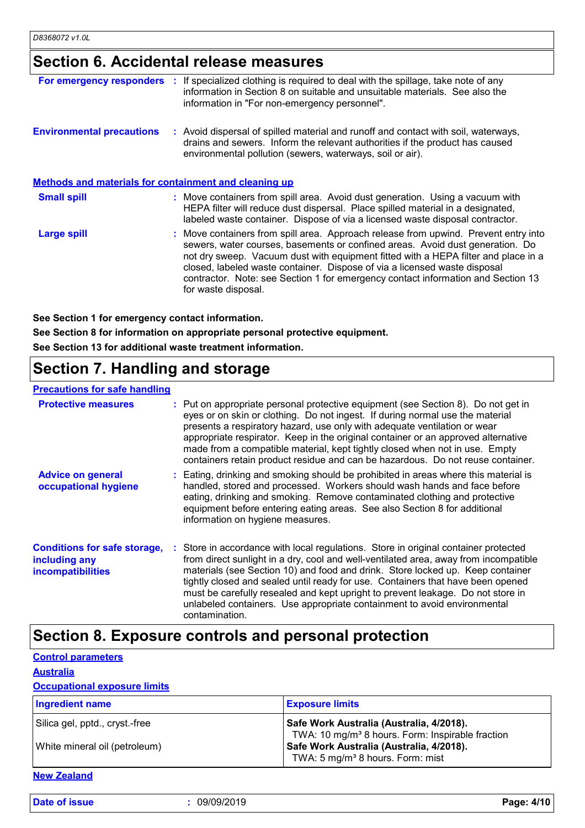### **Section 6. Accidental release measures**

| For emergency responders :                            | If specialized clothing is required to deal with the spillage, take note of any<br>information in Section 8 on suitable and unsuitable materials. See also the<br>information in "For non-emergency personnel".                                                                                                                                                                                                                                    |  |
|-------------------------------------------------------|----------------------------------------------------------------------------------------------------------------------------------------------------------------------------------------------------------------------------------------------------------------------------------------------------------------------------------------------------------------------------------------------------------------------------------------------------|--|
| <b>Environmental precautions</b>                      | : Avoid dispersal of spilled material and runoff and contact with soil, waterways,<br>drains and sewers. Inform the relevant authorities if the product has caused<br>environmental pollution (sewers, waterways, soil or air).                                                                                                                                                                                                                    |  |
| Methods and materials for containment and cleaning up |                                                                                                                                                                                                                                                                                                                                                                                                                                                    |  |
| <b>Small spill</b>                                    | : Move containers from spill area. Avoid dust generation. Using a vacuum with<br>HEPA filter will reduce dust dispersal. Place spilled material in a designated,<br>labeled waste container. Dispose of via a licensed waste disposal contractor.                                                                                                                                                                                                  |  |
| Large spill                                           | : Move containers from spill area. Approach release from upwind. Prevent entry into<br>sewers, water courses, basements or confined areas. Avoid dust generation. Do<br>not dry sweep. Vacuum dust with equipment fitted with a HEPA filter and place in a<br>closed, labeled waste container. Dispose of via a licensed waste disposal<br>contractor. Note: see Section 1 for emergency contact information and Section 13<br>for waste disposal. |  |

**See Section 1 for emergency contact information.**

**See Section 8 for information on appropriate personal protective equipment. See Section 13 for additional waste treatment information.**

# **Section 7. Handling and storage**

#### **Precautions for safe handling**

| <b>Protective measures</b>                                                       | : Put on appropriate personal protective equipment (see Section 8). Do not get in<br>eyes or on skin or clothing. Do not ingest. If during normal use the material<br>presents a respiratory hazard, use only with adequate ventilation or wear<br>appropriate respirator. Keep in the original container or an approved alternative<br>made from a compatible material, kept tightly closed when not in use. Empty<br>containers retain product residue and can be hazardous. Do not reuse container.                            |
|----------------------------------------------------------------------------------|-----------------------------------------------------------------------------------------------------------------------------------------------------------------------------------------------------------------------------------------------------------------------------------------------------------------------------------------------------------------------------------------------------------------------------------------------------------------------------------------------------------------------------------|
| <b>Advice on general</b><br>occupational hygiene                                 | : Eating, drinking and smoking should be prohibited in areas where this material is<br>handled, stored and processed. Workers should wash hands and face before<br>eating, drinking and smoking. Remove contaminated clothing and protective<br>equipment before entering eating areas. See also Section 8 for additional<br>information on hygiene measures.                                                                                                                                                                     |
| <b>Conditions for safe storage,</b><br>including any<br><b>incompatibilities</b> | : Store in accordance with local regulations. Store in original container protected<br>from direct sunlight in a dry, cool and well-ventilated area, away from incompatible<br>materials (see Section 10) and food and drink. Store locked up. Keep container<br>tightly closed and sealed until ready for use. Containers that have been opened<br>must be carefully resealed and kept upright to prevent leakage. Do not store in<br>unlabeled containers. Use appropriate containment to avoid environmental<br>contamination. |

### **Section 8. Exposure controls and personal protection**

|                  | <b>Control parameters</b> |  |
|------------------|---------------------------|--|
| <b>Australia</b> |                           |  |

#### **Occupational exposure limits**

| <b>Ingredient name</b>                                          | <b>Exposure limits</b>                                                                                                                                                                               |
|-----------------------------------------------------------------|------------------------------------------------------------------------------------------------------------------------------------------------------------------------------------------------------|
| Silica gel, pptd., cryst.-free<br>White mineral oil (petroleum) | Safe Work Australia (Australia, 4/2018).<br>TWA: 10 mg/m <sup>3</sup> 8 hours. Form: Inspirable fraction<br>Safe Work Australia (Australia, 4/2018).<br>TWA: 5 mg/m <sup>3</sup> 8 hours. Form: mist |

#### **New Zealand**

**Date of issue :** 09/09/2019 **Page: 4/10**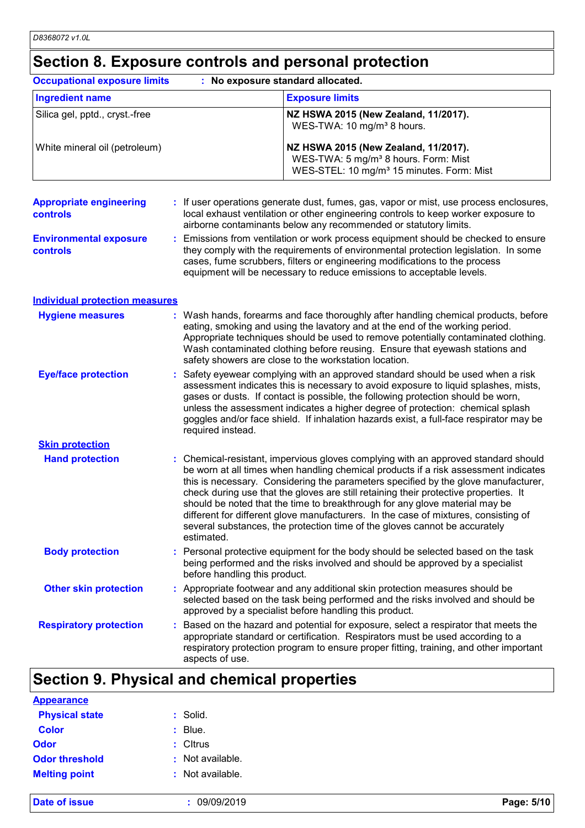# **Section 8. Exposure controls and personal protection**

| <b>Occupational exposure limits</b><br>: No exposure standard allocated. |  |                                                                                                                                                                                                                                                                                                                                                                                                                                                                                                                                                                                                                           |                                                                                                                                                   |
|--------------------------------------------------------------------------|--|---------------------------------------------------------------------------------------------------------------------------------------------------------------------------------------------------------------------------------------------------------------------------------------------------------------------------------------------------------------------------------------------------------------------------------------------------------------------------------------------------------------------------------------------------------------------------------------------------------------------------|---------------------------------------------------------------------------------------------------------------------------------------------------|
| <b>Ingredient name</b>                                                   |  |                                                                                                                                                                                                                                                                                                                                                                                                                                                                                                                                                                                                                           | <b>Exposure limits</b>                                                                                                                            |
| Silica gel, pptd., cryst.-free                                           |  |                                                                                                                                                                                                                                                                                                                                                                                                                                                                                                                                                                                                                           | NZ HSWA 2015 (New Zealand, 11/2017).<br>WES-TWA: 10 mg/m <sup>3</sup> 8 hours.                                                                    |
| White mineral oil (petroleum)                                            |  |                                                                                                                                                                                                                                                                                                                                                                                                                                                                                                                                                                                                                           | NZ HSWA 2015 (New Zealand, 11/2017).<br>WES-TWA: 5 mg/m <sup>3</sup> 8 hours. Form: Mist<br>WES-STEL: 10 mg/m <sup>3</sup> 15 minutes. Form: Mist |
| <b>Appropriate engineering</b><br><b>controls</b>                        |  | : If user operations generate dust, fumes, gas, vapor or mist, use process enclosures,<br>local exhaust ventilation or other engineering controls to keep worker exposure to<br>airborne contaminants below any recommended or statutory limits.                                                                                                                                                                                                                                                                                                                                                                          |                                                                                                                                                   |
| <b>Environmental exposure</b><br><b>controls</b>                         |  | : Emissions from ventilation or work process equipment should be checked to ensure<br>they comply with the requirements of environmental protection legislation. In some<br>cases, fume scrubbers, filters or engineering modifications to the process<br>equipment will be necessary to reduce emissions to acceptable levels.                                                                                                                                                                                                                                                                                           |                                                                                                                                                   |
| <b>Individual protection measures</b>                                    |  |                                                                                                                                                                                                                                                                                                                                                                                                                                                                                                                                                                                                                           |                                                                                                                                                   |
| <b>Hygiene measures</b>                                                  |  | : Wash hands, forearms and face thoroughly after handling chemical products, before<br>eating, smoking and using the lavatory and at the end of the working period.<br>Appropriate techniques should be used to remove potentially contaminated clothing.<br>Wash contaminated clothing before reusing. Ensure that eyewash stations and<br>safety showers are close to the workstation location.                                                                                                                                                                                                                         |                                                                                                                                                   |
| <b>Eye/face protection</b>                                               |  | : Safety eyewear complying with an approved standard should be used when a risk<br>assessment indicates this is necessary to avoid exposure to liquid splashes, mists,<br>gases or dusts. If contact is possible, the following protection should be worn,<br>unless the assessment indicates a higher degree of protection: chemical splash<br>goggles and/or face shield. If inhalation hazards exist, a full-face respirator may be<br>required instead.                                                                                                                                                               |                                                                                                                                                   |
| <b>Skin protection</b>                                                   |  |                                                                                                                                                                                                                                                                                                                                                                                                                                                                                                                                                                                                                           |                                                                                                                                                   |
| <b>Hand protection</b>                                                   |  | : Chemical-resistant, impervious gloves complying with an approved standard should<br>be worn at all times when handling chemical products if a risk assessment indicates<br>this is necessary. Considering the parameters specified by the glove manufacturer,<br>check during use that the gloves are still retaining their protective properties. It<br>should be noted that the time to breakthrough for any glove material may be<br>different for different glove manufacturers. In the case of mixtures, consisting of<br>several substances, the protection time of the gloves cannot be accurately<br>estimated. |                                                                                                                                                   |
| <b>Body protection</b>                                                   |  | : Personal protective equipment for the body should be selected based on the task<br>being performed and the risks involved and should be approved by a specialist<br>before handling this product.                                                                                                                                                                                                                                                                                                                                                                                                                       |                                                                                                                                                   |
| <b>Other skin protection</b>                                             |  | : Appropriate footwear and any additional skin protection measures should be<br>selected based on the task being performed and the risks involved and should be<br>approved by a specialist before handling this product.                                                                                                                                                                                                                                                                                                                                                                                                 |                                                                                                                                                   |
| <b>Respiratory protection</b>                                            |  | : Based on the hazard and potential for exposure, select a respirator that meets the<br>appropriate standard or certification. Respirators must be used according to a<br>respiratory protection program to ensure proper fitting, training, and other important<br>aspects of use.                                                                                                                                                                                                                                                                                                                                       |                                                                                                                                                   |
| Section O. Dhugical and chamical proportion                              |  |                                                                                                                                                                                                                                                                                                                                                                                                                                                                                                                                                                                                                           |                                                                                                                                                   |

### **Section 9. Physical and chemical properties**

| : Solid.           |
|--------------------|
| $\therefore$ Blue. |
| $:$ Cltrus         |
| : Not available.   |
| $:$ Not available. |
|                    |

**Date of issue :** 09/09/2019 **Page: 5/10**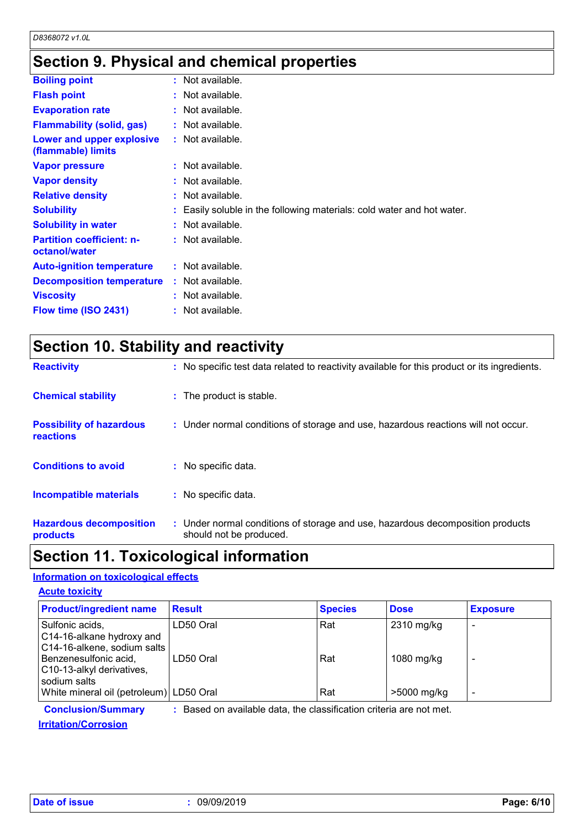# **Section 9. Physical and chemical properties**

| <b>Boiling point</b>                              | $:$ Not available.                                                     |
|---------------------------------------------------|------------------------------------------------------------------------|
| <b>Flash point</b>                                | : Not available.                                                       |
| <b>Evaporation rate</b>                           | : Not available.                                                       |
| <b>Flammability (solid, gas)</b>                  | : Not available.                                                       |
| Lower and upper explosive<br>(flammable) limits   | $:$ Not available.                                                     |
| <b>Vapor pressure</b>                             | $:$ Not available.                                                     |
| <b>Vapor density</b>                              | : Not available.                                                       |
| <b>Relative density</b>                           | $:$ Not available.                                                     |
| <b>Solubility</b>                                 | : Easily soluble in the following materials: cold water and hot water. |
| <b>Solubility in water</b>                        | $:$ Not available.                                                     |
| <b>Partition coefficient: n-</b><br>octanol/water | $:$ Not available.                                                     |
| <b>Auto-ignition temperature</b>                  | : Not available.                                                       |
| <b>Decomposition temperature</b>                  | $:$ Not available.                                                     |
| <b>Viscosity</b>                                  | : Not available.                                                       |
| Flow time (ISO 2431)                              | : Not available.                                                       |
|                                                   |                                                                        |

|  | <b>Section 10. Stability and reactivity</b> |  |
|--|---------------------------------------------|--|
|--|---------------------------------------------|--|

| <b>Reactivity</b>                            | : No specific test data related to reactivity available for this product or its ingredients.              |
|----------------------------------------------|-----------------------------------------------------------------------------------------------------------|
| <b>Chemical stability</b>                    | : The product is stable.                                                                                  |
| <b>Possibility of hazardous</b><br>reactions | : Under normal conditions of storage and use, hazardous reactions will not occur.                         |
| <b>Conditions to avoid</b>                   | : No specific data.                                                                                       |
| Incompatible materials                       | : No specific data.                                                                                       |
| <b>Hazardous decomposition</b><br>products   | : Under normal conditions of storage and use, hazardous decomposition products<br>should not be produced. |

### **Section 11. Toxicological information**

#### **Information on toxicological effects**

| <b>Acute toxicity</b>                                                                                                             |                        |                |                          |                 |
|-----------------------------------------------------------------------------------------------------------------------------------|------------------------|----------------|--------------------------|-----------------|
| <b>Product/ingredient name</b>                                                                                                    | <b>Result</b>          | <b>Species</b> | <b>Dose</b>              | <b>Exposure</b> |
| Sulfonic acids,<br>C14-16-alkane hydroxy and<br>C14-16-alkene, sodium salts<br>Benzenesulfonic acid,<br>C10-13-alkyl derivatives, | LD50 Oral<br>LD50 Oral | Rat<br>Rat     | 2310 mg/kg<br>1080 mg/kg |                 |
| sodium salts<br>White mineral oil (petroleum) LD50 Oral                                                                           |                        | Rat            | >5000 mg/kg              | -               |

**Conclusion/Summary :** Based on available data, the classification criteria are not met.

**Irritation/Corrosion**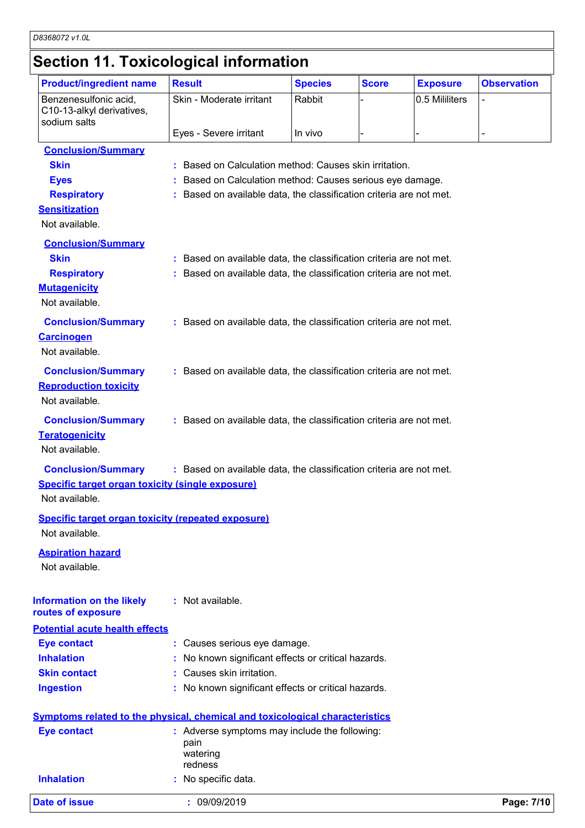### **Section 11. Toxicological information**

| <b>Product/ingredient name</b>                                                                            | <b>Result</b>                                                       | <b>Species</b> | <b>Score</b> | <b>Exposure</b> | <b>Observation</b> |
|-----------------------------------------------------------------------------------------------------------|---------------------------------------------------------------------|----------------|--------------|-----------------|--------------------|
| Benzenesulfonic acid,<br>C10-13-alkyl derivatives,                                                        | Skin - Moderate irritant                                            | Rabbit         |              | 0.5 Mililiters  | $\overline{a}$     |
| sodium salts                                                                                              | Eyes - Severe irritant                                              | In vivo        |              |                 |                    |
|                                                                                                           |                                                                     |                |              |                 |                    |
| <b>Conclusion/Summary</b>                                                                                 |                                                                     |                |              |                 |                    |
| <b>Skin</b>                                                                                               | : Based on Calculation method: Causes skin irritation.              |                |              |                 |                    |
| <b>Eyes</b>                                                                                               | : Based on Calculation method: Causes serious eye damage.           |                |              |                 |                    |
| <b>Respiratory</b>                                                                                        | : Based on available data, the classification criteria are not met. |                |              |                 |                    |
| <b>Sensitization</b><br>Not available.                                                                    |                                                                     |                |              |                 |                    |
|                                                                                                           |                                                                     |                |              |                 |                    |
| <b>Conclusion/Summary</b>                                                                                 |                                                                     |                |              |                 |                    |
| <b>Skin</b>                                                                                               | : Based on available data, the classification criteria are not met. |                |              |                 |                    |
| <b>Respiratory</b>                                                                                        | : Based on available data, the classification criteria are not met. |                |              |                 |                    |
| <b>Mutagenicity</b>                                                                                       |                                                                     |                |              |                 |                    |
| Not available.                                                                                            |                                                                     |                |              |                 |                    |
| <b>Conclusion/Summary</b>                                                                                 | : Based on available data, the classification criteria are not met. |                |              |                 |                    |
| <b>Carcinogen</b>                                                                                         |                                                                     |                |              |                 |                    |
| Not available.                                                                                            |                                                                     |                |              |                 |                    |
| <b>Conclusion/Summary</b>                                                                                 | : Based on available data, the classification criteria are not met. |                |              |                 |                    |
| <b>Reproduction toxicity</b>                                                                              |                                                                     |                |              |                 |                    |
| Not available.                                                                                            |                                                                     |                |              |                 |                    |
|                                                                                                           |                                                                     |                |              |                 |                    |
| <b>Conclusion/Summary</b>                                                                                 | : Based on available data, the classification criteria are not met. |                |              |                 |                    |
| <b>Teratogenicity</b>                                                                                     |                                                                     |                |              |                 |                    |
| Not available.                                                                                            |                                                                     |                |              |                 |                    |
| <b>Conclusion/Summary</b>                                                                                 | : Based on available data, the classification criteria are not met. |                |              |                 |                    |
| <b>Specific target organ toxicity (single exposure)</b>                                                   |                                                                     |                |              |                 |                    |
| Not available.                                                                                            |                                                                     |                |              |                 |                    |
| <b>Specific target organ toxicity (repeated exposure)</b>                                                 |                                                                     |                |              |                 |                    |
| Not available.                                                                                            |                                                                     |                |              |                 |                    |
|                                                                                                           |                                                                     |                |              |                 |                    |
| <b>Aspiration hazard</b>                                                                                  |                                                                     |                |              |                 |                    |
| Not available.                                                                                            |                                                                     |                |              |                 |                    |
|                                                                                                           |                                                                     |                |              |                 |                    |
| <b>Information on the likely</b>                                                                          | : Not available.                                                    |                |              |                 |                    |
| routes of exposure                                                                                        |                                                                     |                |              |                 |                    |
| <b>Potential acute health effects</b>                                                                     |                                                                     |                |              |                 |                    |
| <b>Eye contact</b>                                                                                        | : Causes serious eye damage.                                        |                |              |                 |                    |
| <b>Inhalation</b>                                                                                         | : No known significant effects or critical hazards.                 |                |              |                 |                    |
| <b>Skin contact</b>                                                                                       | : Causes skin irritation.                                           |                |              |                 |                    |
| <b>Ingestion</b>                                                                                          | : No known significant effects or critical hazards.                 |                |              |                 |                    |
|                                                                                                           |                                                                     |                |              |                 |                    |
| <b>Symptoms related to the physical, chemical and toxicological characteristics</b><br><b>Eye contact</b> | : Adverse symptoms may include the following:                       |                |              |                 |                    |
|                                                                                                           | pain                                                                |                |              |                 |                    |
|                                                                                                           | watering                                                            |                |              |                 |                    |
|                                                                                                           | redness                                                             |                |              |                 |                    |
| <b>Inhalation</b>                                                                                         | : No specific data.                                                 |                |              |                 |                    |
| <b>Date of issue</b>                                                                                      | : 09/09/2019                                                        |                |              |                 | Page: 7/10         |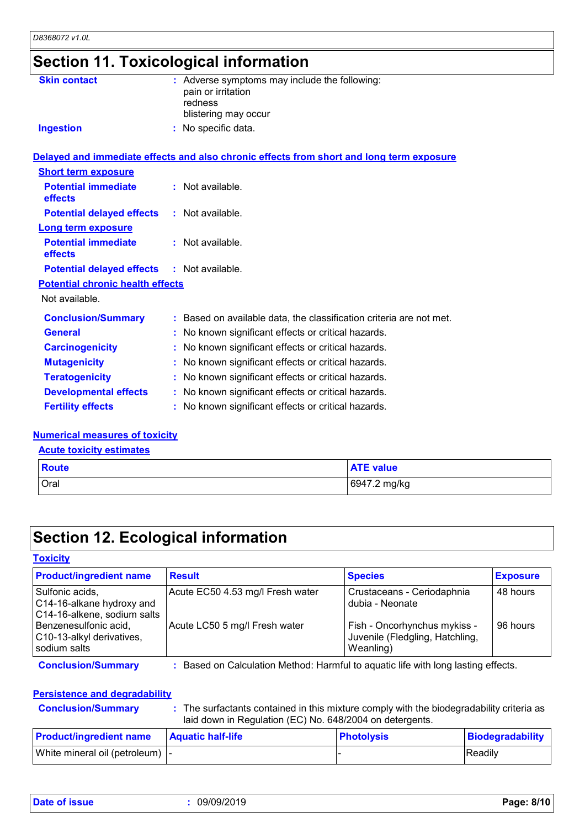# **Section 11. Toxicological information**

| <b>Skin contact</b>                               | : Adverse symptoms may include the following:<br>pain or irritation<br>redness<br>blistering may occur |
|---------------------------------------------------|--------------------------------------------------------------------------------------------------------|
| <b>Ingestion</b>                                  | : No specific data.                                                                                    |
|                                                   | Delayed and immediate effects and also chronic effects from short and long term exposure               |
| <b>Short term exposure</b>                        |                                                                                                        |
| <b>Potential immediate</b><br>effects             | : Not available.                                                                                       |
| <b>Potential delayed effects</b>                  | : Not available.                                                                                       |
| <b>Long term exposure</b>                         |                                                                                                        |
| <b>Potential immediate</b><br>effects             | : Not available.                                                                                       |
| <b>Potential delayed effects : Not available.</b> |                                                                                                        |
| <b>Potential chronic health effects</b>           |                                                                                                        |
| Not available.                                    |                                                                                                        |
| <b>Conclusion/Summary</b>                         | : Based on available data, the classification criteria are not met.                                    |
| <b>General</b>                                    | : No known significant effects or critical hazards.                                                    |
| <b>Carcinogenicity</b>                            | : No known significant effects or critical hazards.                                                    |
| <b>Mutagenicity</b>                               | : No known significant effects or critical hazards.                                                    |
| <b>Teratogenicity</b>                             | : No known significant effects or critical hazards.                                                    |
| <b>Developmental effects</b>                      | : No known significant effects or critical hazards.                                                    |
| <b>Fertility effects</b>                          | : No known significant effects or critical hazards.                                                    |

#### **Numerical measures of toxicity**

**Acute toxicity estimates**

| <b>Route</b> | <b>ATE value</b> |
|--------------|------------------|
| Oral         | 6947.2 mg/kg     |

### **Section 12. Ecological information**

#### **Toxicity**

| <b>Product/ingredient name</b>                                              | <b>Result</b>                                                                   | <b>Species</b>                                                               | <b>Exposure</b> |
|-----------------------------------------------------------------------------|---------------------------------------------------------------------------------|------------------------------------------------------------------------------|-----------------|
| Sulfonic acids,<br>C14-16-alkane hydroxy and<br>C14-16-alkene, sodium salts | Acute EC50 4.53 mg/l Fresh water                                                | Crustaceans - Ceriodaphnia<br>dubia - Neonate                                | 48 hours        |
| Benzenesulfonic acid,<br>C10-13-alkyl derivatives,<br>sodium salts          | Acute LC50 5 mg/l Fresh water                                                   | Fish - Oncorhynchus mykiss -<br>Juvenile (Fledgling, Hatchling,<br>Weanling) | 96 hours        |
| <b>Conclusion/Summary</b>                                                   | Based on Calculation Method: Harmful to aquatic life with long lasting effects. |                                                                              |                 |

#### **Persistence and degradability**

| <b>Conclusion/Summ</b> |  |  |
|------------------------|--|--|
|                        |  |  |

**Clusion/Summary :** The surfactants contained in this mixture comply with the biodegradability criteria as laid down in Regulation (EC) No. 648/2004 on detergents.

| <b>Product/ingredient name</b>   | <b>Aquatic half-life</b> | <b>Photolysis</b> | Biodegradability |
|----------------------------------|--------------------------|-------------------|------------------|
| White mineral oil (petroleum)  - |                          |                   | Readily          |

**Date of issue :** 09/09/2019 **Page: 8/10**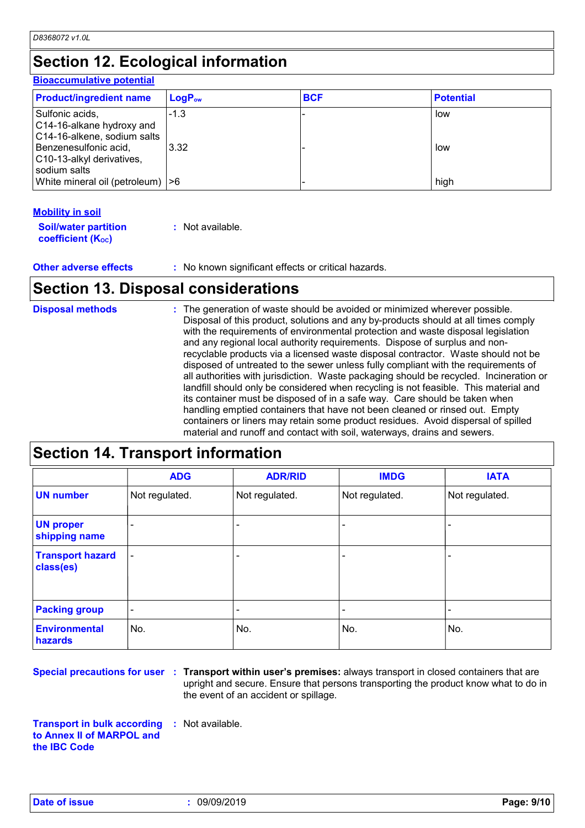## **Section 12. Ecological information**

#### **Bioaccumulative potential**

| <b>Product/ingredient name</b>                                              | $\mathsf{LogP}_\mathsf{ow}$ | <b>BCF</b> | <b>Potential</b> |
|-----------------------------------------------------------------------------|-----------------------------|------------|------------------|
| Sulfonic acids,<br>C14-16-alkane hydroxy and<br>C14-16-alkene, sodium salts | $-1.3$                      |            | low              |
| Benzenesulfonic acid,<br>C10-13-alkyl derivatives,<br>sodium salts          | 3.32                        |            | low              |
| White mineral oil (petroleum)  >6                                           |                             |            | high             |

#### **Mobility in soil**

| <b>Soil/water partition</b> | : Not available. |
|-----------------------------|------------------|
| <b>coefficient (Koc)</b>    |                  |

**Other adverse effects** : No known significant effects or critical hazards.

### **Section 13. Disposal considerations**

| <b>Disposal methods</b> | : The generation of waste should be avoided or minimized wherever possible.<br>Disposal of this product, solutions and any by-products should at all times comply<br>with the requirements of environmental protection and waste disposal legislation<br>and any regional local authority requirements. Dispose of surplus and non-<br>recyclable products via a licensed waste disposal contractor. Waste should not be<br>disposed of untreated to the sewer unless fully compliant with the requirements of<br>all authorities with jurisdiction. Waste packaging should be recycled. Incineration or<br>landfill should only be considered when recycling is not feasible. This material and<br>its container must be disposed of in a safe way. Care should be taken when<br>handling emptied containers that have not been cleaned or rinsed out. Empty<br>containers or liners may retain some product residues. Avoid dispersal of spilled |
|-------------------------|----------------------------------------------------------------------------------------------------------------------------------------------------------------------------------------------------------------------------------------------------------------------------------------------------------------------------------------------------------------------------------------------------------------------------------------------------------------------------------------------------------------------------------------------------------------------------------------------------------------------------------------------------------------------------------------------------------------------------------------------------------------------------------------------------------------------------------------------------------------------------------------------------------------------------------------------------|
|                         | material and runoff and contact with soil, waterways, drains and sewers.                                                                                                                                                                                                                                                                                                                                                                                                                                                                                                                                                                                                                                                                                                                                                                                                                                                                           |

### **Section 14. Transport information**

|                                      | <b>ADG</b>               | <b>ADR/RID</b> | <b>IMDG</b>    | <b>IATA</b>    |
|--------------------------------------|--------------------------|----------------|----------------|----------------|
| <b>UN number</b>                     | Not regulated.           | Not regulated. | Not regulated. | Not regulated. |
| <b>UN proper</b><br>shipping name    | -                        |                |                |                |
| <b>Transport hazard</b><br>class(es) |                          |                |                |                |
| <b>Packing group</b>                 | $\overline{\phantom{a}}$ |                | ٠              |                |
| <b>Environmental</b><br>hazards      | No.                      | No.            | No.            | No.            |

**Special precautions for user Transport within user's premises:** always transport in closed containers that are **:** upright and secure. Ensure that persons transporting the product know what to do in the event of an accident or spillage.

**Transport in bulk according to Annex II of MARPOL and the IBC Code :** Not available.